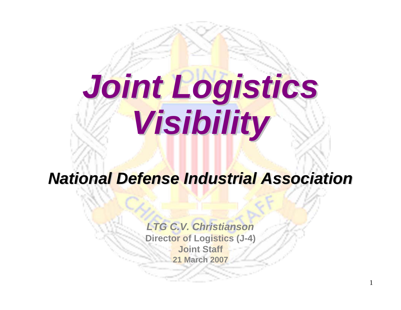# *Joint Logistics Joint Logistics Visibility Visibility*

### *National Defense Industrial Association National Defense Industrial Association*

*LTG C.V. Christianson***Director of Logistics (J-4) Joint Staff21 March 2007**

1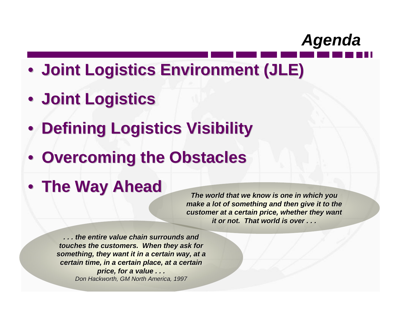

- **Joint Logistics Environment (JLE) Joint Logistics Environment (JLE)**
- **Joint Logistics Joint Logistics**
- **Defining Logistics Visibility**
- **Overcoming the Obstacles**
- **The Way Ahead The Way Ahead**

*The world that we know is one in which you is one in which you make a lot of something and then give it to the make a lot of something and then give it to the customer at a certain price, whether they want it or not. That world is over ...* 

*. . . the entire value chain surrounds and e chain surrounds and touches the customers. When they ask for* something, they want it in a certain way, at a *certain time, in a cert certain time, in certain place, at ain place, at a certain certain price, for a value . . . price, for a value . . . Don Hackworth, GM North America, 1997*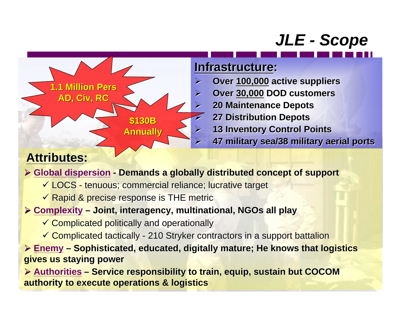# *JLE - Scope*



### **Attributes Attributes:**

#### ¾ **Global dispersion** *-* **Demands a globally distributed concept of support Demands a globally distributed concept of support**

- $\checkmark$  LOCS tenuous; commercial reliance; lucrative target
- $\checkmark$  Rapid & precise response is THE metric

#### ¾ **Complexity – Joint, interagency, multinational, NGOs all play Joint, interagency, multinational, NGOs all play**

- $\checkmark$  Complicated politically and operationally
- Complicated tactically 210 Stryker contractors in a support battalion

**≻ Enemy – Sophisticated, educated, digitally mature; He knows that logistics gives us staying power gives us staying power**

¾ **Authorities – Service responsibility to train, equip, sustain but COCOM Service responsibility to train, equip, sustain but COCOM authority to execute operations & logistics authority to execute operations & logistics**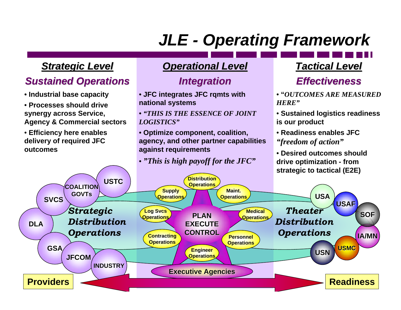# *JLE - Operating Framework*

#### *Strategic Level Strategic Level*

### *Sustained Operations Sustained Operations*

- **Industrial base capacity**
- **Processes should drive synergy across Service, Agency & Commercial sectors**
- **Efficiency here enables delivery of required JFC outcomes**

#### *Operational Level Operational Level*

### *Integration Integration*

• **JFC integrates JFC rqmts with national systems**

• *"THIS IS THE ESSENCE OF JOINT LOGISTICS"*

• **Optimize component, coalition, agency, and other partner capabilities against requirements**

#### • *"This is high payoff for the JFC"*

### *Tactical Level Tactical Level*

### *Effectiveness Effectiveness*

- **"***OUTCOMES ARE MEASURED HERE"*
- **Sustained logistics readiness is our product**
- **Readiness enables JFC**  *"freedom of action"*

• **Desired outcomes should drive optimization - from strategic to tactical (E2E)**

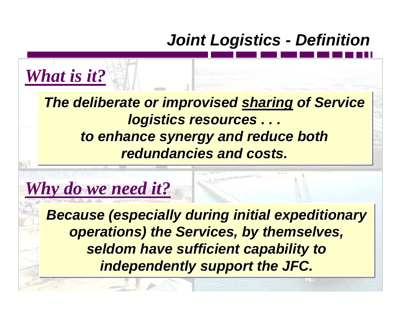# *Joint Logistics - Definition*

*The deliberate or improvised sharing of Service The deliberate or improvised The deliberate or improvised sharing sharing of Service of Service logistics resources . . . logistics resources . . . logistics resources . . . to enhance synergy and reduce both to enhance synergy and reduce both to enhance synergy and reduce both redundancies and costs. redundancies and costs redundancies and costs.*

# *Why do we need it?*

*What is it?*

*Because (especially during initial expeditionary Because (especially during initial expeditionary ecause (especially during initial expeditionary operations) the Services, by themselves, operations) the Services, by themselves, operations) the Services, by themselves, seldom have sufficient capability to seldom have sufficient capability to seldom have sufficient capability to independently support the JFC. independently support the JFC. independently support the JFC.*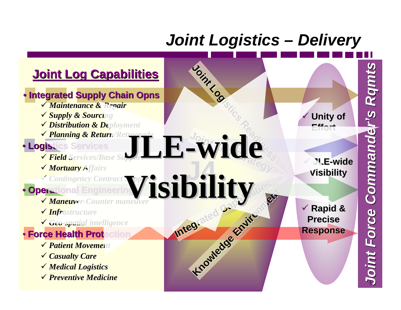### *Joint Logistics – Delivery*

#### **Joint Log Capabilities Joint Log Capabilities • Integrated Supply Chain Opns** 9 *Maintenance & Repair Maintenance & Repair* 9 *Supply & Sourcing Supply & Sourcing* 9 *Distribution & Deployment Distribution & Deployment* V Planning & Return/Ret *Planning & Return/Retrograde Planning & Return/Retrograde* • **Logistics Services Logistics Services** 9 *Field Services/Base Su Field Services/Base Support* 9 *Mortuary Affairs Mortuary Affairs* 9 *Contingency C ntingency Contract Support ntract Support* •**Operational Engineering** 9 *Maneuver Maneuver-Counter maneuver Counter maneuver* 9 *Infrastructure Infrastructure* 9 *Geo-spatial inte spatial intelligence lligence* • **Force Health Protection Force Health Protection** 9 *Patient Movement Patient Movement* 9 *Casua lty Care* 9 *Medical Logistics Medical Logistics* 9 *Preventive Medicine Preventive Medicine* 9 **Rapid & Rapid & Precise PreciseResponse Response**  $\checkmark$  **Unity of Unity of Effort** $\checkmark$  **JLE -wideVisibility Visibility IDILITY Knowledge Environment Joint Log**  $\overline{\mathbf{A}}$ **Strategy Joint Log Strategy JOINTINGS**<br> **LE-WICES -wide Visibility Visibility**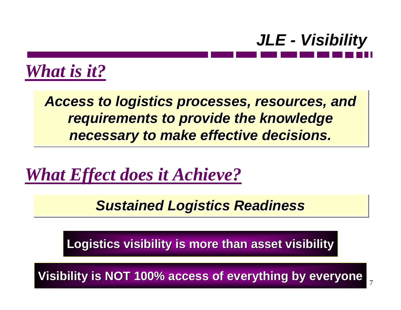

7

*What is it?*

Access to logistics processes, resources, and *requirements to provide the knowledge requirements to provide the knowledge requirements to provide the knowledge necessary to make effective decisions. necessary to make effective decisions necessary to make effective decisions.*

*What Effect does it Achieve?*

*Sustained Logistics Readiness Sustained Logistics Readiness Sustained Logistics Readiness*

**Logistics visibility is more than asset visibility Logistics visibility is more than asset visibility**

**Visibility is NOT 100% access of everything by everyone**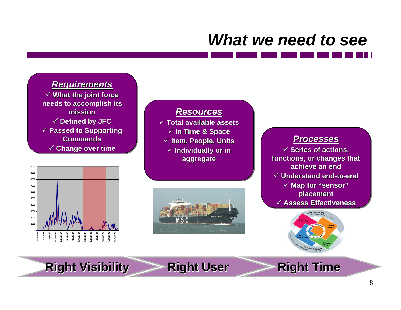# *What we need to see*

#### *Requirements Requirements Requirements*

9 **What the joint force**  9 **What the joint force needs to accomplish its needs to accomplish its needs to accomplish its missionmission**9 **Defined by JFC** 9 **Defined by JFC** 9 **Passed to Supporting**  9 **Passed to Supporting Passed to Supporting CommandsCommands Commands**9 **Change over time** 9 **Change over time over time**



#### *ResourcesResources Resources*

 **Total available assets** 9 **Total available assets Total available assets In Time & Space** 9 **In Time & Space Time & Space Item, People, Units** 9 **Item, People, Units Item, People, Units Individually or in** 9 **Individually or in aggregate aggregate aggregate**



#### *ProcessesProcesses Processes*

 $\checkmark$  Series of actions, **functions, or changes that functions, or functions, or changes that changes that achieve an endachieve an end**9 **Understand end-to-end** 9 **Understand end-to-end** 9 **Map for "sensor"** 9 **Map for Map for "sensor" placement placement placement** 9 **Assess Effectiveness** 9 **Assess Effectiveness Assess Effectiveness**



**Right Visibility Right Visibility Right User Right User Right Time Right Time**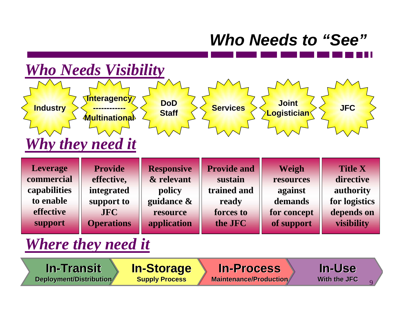### *Who Needs to "See"*

#### **Leverage commercial capabilities to enable effective support Provide effective, integrated support to JFC Operations Responsive & relevant guidance & resource application policy Provide and sustain trained and ready forces to the JFCWeigh resources against demands for concept of support Title X directive authority for logistics depends on visibility Industry Industry Interagency Interagency ------------ ------------Multinational MultinationalDoDStaff Services Services Joint Logistician Logistician JFC** *Who Needs Visibility Why they need it*

### *Where they need it*

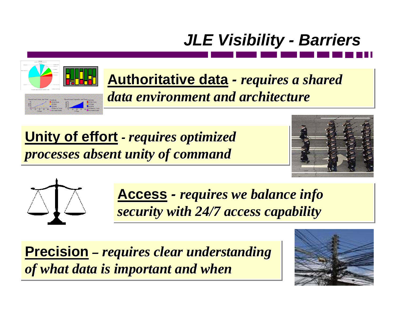



**Authoritative data** *-*<u>Authoritative data</u> *- requires a shared data environment and architecturedata environment and architecture data environment and architecturerequires a shared requires a shared* 

**Unity of effort** *-*<u>**Unity of effort** *- requires optimized*</u> *processes absent unity of command processes absent unity of command processes absent unity of command requires optimized requires optimized* 





**Access** *-***Access** - requires we balance info **Prop** *security with 24/7 access capability security with 24/7 access capability security with 24/7 access capability requires we balance info requires we balance info* 

**Precision** *– requires clear understanding*  **Precision Precision** *of what data is important and when of what data is important and when of what data is important and when–requires clear understanding requires clear understanding* 

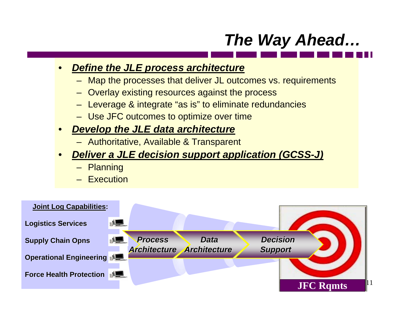### *The Way Ahead…*

#### •*Define the JLE process architecture*

- Map the processes that deliver JL outcomes vs. requirements
- Overlay existing resources against the process
- Leverage & integrate "as is" to eliminate redundancies
- Use JFC outcomes to optimize over time

#### •*Develop the JLE data architecture*

- Authoritative, Available & Transparent
- • *Deliver a JLE decision support application (GCSS-J)*
	- Planning
	- Execution

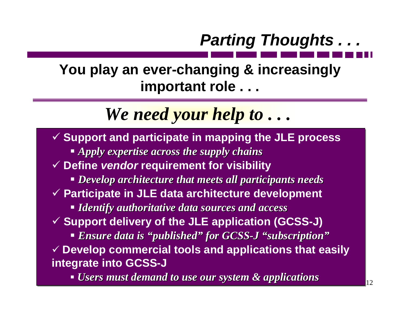# *Parting Thoughts . . .*

### **You play an ever-changing & increasingly important role . . .**

*We need your help to . . .* 

9 **Support and participate in mapping the JLE process** 9 **Support and participate in mapping the JLE process** *Apply expertise across the supply chains* 9 **Define** *vendor* **requirement for visibility** 9 **Define** *vendor* **requirement for visibility** *Develop architecture that meets all participants needs Develop architecture that meets all participants needs Develop architecture that meets all participants needs* 9 **Participate in JLE data architecture development** 9 **Participate in JLE data architecture development** *Identify authoritative data sources and access Identify authoritative data sources and access Identify authoritative data sources and access* 9 **Support delivery of the JLE application (GCSS-J)** 9 **Support delivery of the JLE application (GCSS-J) E**nsure data is "published" for GCSS-J "subscription" 9 **Develop commercial tools and applications that easily**  9 **Develop commercial tools and applications that easily integrate into GCSS-J integrate into GCSS-J**

**• Users must demand to use our system & applications**